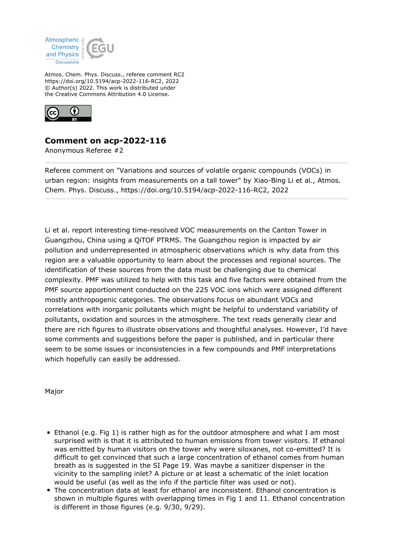

Atmos. Chem. Phys. Discuss., referee comment RC2 https://doi.org/10.5194/acp-2022-116-RC2, 2022 © Author(s) 2022. This work is distributed under the Creative Commons Attribution 4.0 License.



## **Comment on acp-2022-116**

Anonymous Referee #2

Referee comment on "Variations and sources of volatile organic compounds (VOCs) in urban region: insights from measurements on a tall tower" by Xiao-Bing Li et al., Atmos. Chem. Phys. Discuss., https://doi.org/10.5194/acp-2022-116-RC2, 2022

Li et al. report interesting time-resolved VOC measurements on the Canton Tower in Guangzhou, China using a QiTOF PTRMS. The Guangzhou region is impacted by air pollution and underrepresented in atmospheric observations which is why data from this region are a valuable opportunity to learn about the processes and regional sources. The identification of these sources from the data must be challenging due to chemical complexity. PMF was utilized to help with this task and five factors were obtained from the PMF source apportionment conducted on the 225 VOC ions which were assigned different mostly anthropogenic categories. The observations focus on abundant VOCs and correlations with inorganic pollutants which might be helpful to understand variability of pollutants, oxidation and sources in the atmosphere. The text reads generally clear and there are rich figures to illustrate observations and thoughtful analyses. However, I'd have some comments and suggestions before the paper is published, and in particular there seem to be some issues or inconsistencies in a few compounds and PMF interpretations which hopefully can easily be addressed.

Major

- Ethanol (e.g. Fig 1) is rather high as for the outdoor atmosphere and what I am most surprised with is that it is attributed to human emissions from tower visitors. If ethanol was emitted by human visitors on the tower why were siloxanes, not co-emitted? It is difficult to get convinced that such a large concentration of ethanol comes from human breath as is suggested in the SI Page 19. Was maybe a sanitizer dispenser in the vicinity to the sampling inlet? A picture or at least a schematic of the inlet location would be useful (as well as the info if the particle filter was used or not).
- The concentration data at least for ethanol are inconsistent. Ethanol concentration is shown in multiple figures with overlapping times in Fig 1 and 11. Ethanol concentration is different in those figures (e.g. 9/30, 9/29).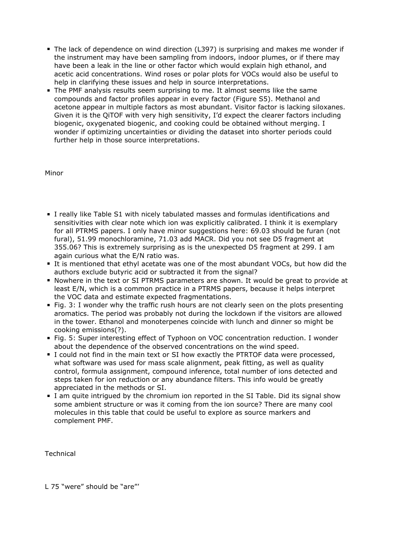- The lack of dependence on wind direction (L397) is surprising and makes me wonder if the instrument may have been sampling from indoors, indoor plumes, or if there may have been a leak in the line or other factor which would explain high ethanol, and acetic acid concentrations. Wind roses or polar plots for VOCs would also be useful to help in clarifying these issues and help in source interpretations.
- The PMF analysis results seem surprising to me. It almost seems like the same compounds and factor profiles appear in every factor (Figure S5). Methanol and acetone appear in multiple factors as most abundant. Visitor factor is lacking siloxanes. Given it is the QiTOF with very high sensitivity, I'd expect the clearer factors including biogenic, oxygenated biogenic, and cooking could be obtained without merging. I wonder if optimizing uncertainties or dividing the dataset into shorter periods could further help in those source interpretations.

## Minor

- I really like Table S1 with nicely tabulated masses and formulas identifications and sensitivities with clear note which ion was explicitly calibrated. I think it is exemplary for all PTRMS papers. I only have minor suggestions here: 69.03 should be furan (not fural), 51.99 monochloramine, 71.03 add MACR. Did you not see D5 fragment at 355.06? This is extremely surprising as is the unexpected D5 fragment at 299. I am again curious what the E/N ratio was.
- It is mentioned that ethyl acetate was one of the most abundant VOCs, but how did the authors exclude butyric acid or subtracted it from the signal?
- Nowhere in the text or SI PTRMS parameters are shown. It would be great to provide at least E/N, which is a common practice in a PTRMS papers, because it helps interpret the VOC data and estimate expected fragmentations.
- Fig. 3: I wonder why the traffic rush hours are not clearly seen on the plots presenting aromatics. The period was probably not during the lockdown if the visitors are allowed in the tower. Ethanol and monoterpenes coincide with lunch and dinner so might be cooking emissions(?).
- Fig. 5: Super interesting effect of Typhoon on VOC concentration reduction. I wonder about the dependence of the observed concentrations on the wind speed.
- I could not find in the main text or SI how exactly the PTRTOF data were processed, what software was used for mass scale alignment, peak fitting, as well as quality control, formula assignment, compound inference, total number of ions detected and steps taken for ion reduction or any abundance filters. This info would be greatly appreciated in the methods or SI.
- I am quite intrigued by the chromium ion reported in the SI Table. Did its signal show some ambient structure or was it coming from the ion source? There are many cool molecules in this table that could be useful to explore as source markers and complement PMF.

Technical

L 75 "were" should be "are"'